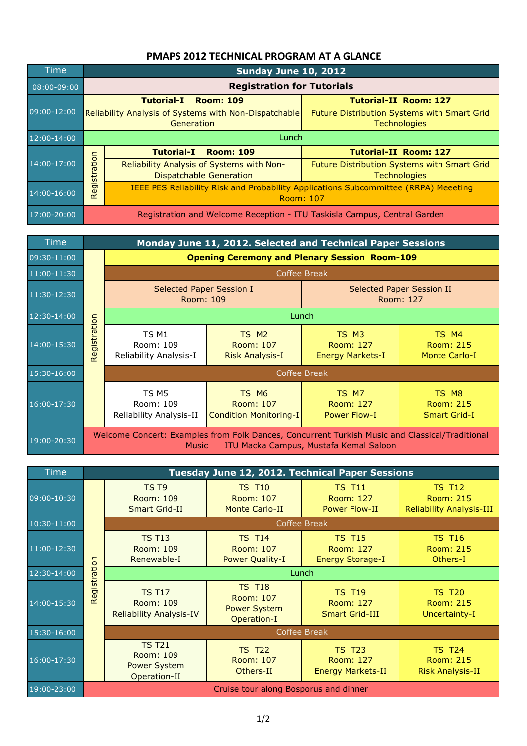## **PMAPS 2012 TECHNICAL PROGRAM AT A GLANCE**

| <b>Time</b>     | Sunday June 10, 2012                                                     |                                                                                                         |                                                                    |  |  |
|-----------------|--------------------------------------------------------------------------|---------------------------------------------------------------------------------------------------------|--------------------------------------------------------------------|--|--|
| $08:00 - 09:00$ |                                                                          | <b>Registration for Tutorials</b>                                                                       |                                                                    |  |  |
|                 | <b>Tutorial-II Room: 127</b><br><b>Tutorial-I</b><br><b>Room: 109</b>    |                                                                                                         |                                                                    |  |  |
| 09:00-12:00     | Reliability Analysis of Systems with Non-Dispatchable<br>Generation      |                                                                                                         | Future Distribution Systems with Smart Grid<br><b>Technologies</b> |  |  |
| 12:00-14:00     |                                                                          | Lunch                                                                                                   |                                                                    |  |  |
| 14:00-17:00     | Registration                                                             | <b>Tutorial-I</b><br><b>Room: 109</b>                                                                   | <b>Tutorial-II Room: 127</b>                                       |  |  |
|                 |                                                                          | Reliability Analysis of Systems with Non-<br><b>Dispatchable Generation</b>                             | Future Distribution Systems with Smart Grid<br><b>Technologies</b> |  |  |
| 14:00-16:00     |                                                                          | <b>IEEE PES Reliability Risk and Probability Applications Subcommittee (RRPA) Meeeting</b><br>Room: 107 |                                                                    |  |  |
| 17:00-20:00     | Registration and Welcome Reception - ITU Taskisla Campus, Central Garden |                                                                                                         |                                                                    |  |  |

| Time        |              | Monday June 11, 2012. Selected and Technical Paper Sessions                                                    |                                                          |                                               |                                                   |
|-------------|--------------|----------------------------------------------------------------------------------------------------------------|----------------------------------------------------------|-----------------------------------------------|---------------------------------------------------|
| 09:30-11:00 |              | <b>Opening Ceremony and Plenary Session Room-109</b>                                                           |                                                          |                                               |                                                   |
| 11:00-11:30 |              | Coffee Break                                                                                                   |                                                          |                                               |                                                   |
| 11:30-12:30 |              | Selected Paper Session I<br>Room: 109                                                                          |                                                          | Selected Paper Session II<br>Room: 127        |                                                   |
| 12:30-14:00 |              | Lunch                                                                                                          |                                                          |                                               |                                                   |
| 14:00-15:30 | Registration | TS M1<br>Room: 109<br>Reliability Analysis-I                                                                   | TS M <sub>2</sub><br>Room: 107<br><b>Risk Analysis-I</b> | TS M3<br>Room: 127<br><b>Energy Markets-I</b> | TS M4<br><b>Room: 215</b><br><b>Monte Carlo-I</b> |
| 15:30-16:00 |              | Coffee Break                                                                                                   |                                                          |                                               |                                                   |
| 16:00-17:30 |              | TS M5<br>Room: 109<br>Reliability Analysis-II                                                                  | TS M6<br>Room: 107<br><b>Condition Monitoring-I</b>      | TS M7<br>Room: 127<br><b>Power Flow-I</b>     | TS M8<br><b>Room: 215</b><br><b>Smart Grid-I</b>  |
| 19:00-20:30 |              | Welcome Concert: Examples from Folk Dances, Concurrent Turkish Music and Classical/Traditional<br><b>Music</b> |                                                          | ITU Macka Campus, Mustafa Kemal Saloon        |                                                   |

| 12:30-14:00     |              | Luncn                                                                                                                                                    |                                                                  |                                                           |                                                                      |  |
|-----------------|--------------|----------------------------------------------------------------------------------------------------------------------------------------------------------|------------------------------------------------------------------|-----------------------------------------------------------|----------------------------------------------------------------------|--|
| 14:00-15:30     | Registration | TS <sub>M1</sub><br>Room: 109<br>Reliability Analysis-I                                                                                                  | TS <sub>M2</sub><br>Room: 107<br><b>Risk Analysis-I</b>          | TS M3<br>Room: 127<br><b>Energy Markets-I</b>             | TS M4<br><b>Room: 215</b><br><b>Monte Carlo-I</b>                    |  |
| 15:30-16:00     |              | <b>Coffee Break</b>                                                                                                                                      |                                                                  |                                                           |                                                                      |  |
| 16:00-17:30     |              | TS <sub>M5</sub><br>Room: 109<br>Reliability Analysis-II                                                                                                 | TS M6<br>Room: 107<br><b>Condition Monitoring-I</b>              | TS M7<br>Room: 127<br><b>Power Flow-I</b>                 | TS M8<br><b>Room: 215</b><br><b>Smart Grid-I</b>                     |  |
| 19:00-20:30     |              | Welcome Concert: Examples from Folk Dances, Concurrent Turkish Music and Classical/Traditional<br>ITU Macka Campus, Mustafa Kemal Saloon<br><b>Music</b> |                                                                  |                                                           |                                                                      |  |
| <b>Time</b>     |              |                                                                                                                                                          |                                                                  |                                                           |                                                                      |  |
|                 |              |                                                                                                                                                          | Tuesday June 12, 2012. Technical Paper Sessions                  |                                                           |                                                                      |  |
| 09:00-10:30     |              | TS T9<br>Room: 109<br><b>Smart Grid-II</b>                                                                                                               | <b>TS T10</b><br>Room: 107<br><b>Monte Carlo-II</b>              | <b>TS T11</b><br><b>Room: 127</b><br><b>Power Flow-II</b> | <b>TS T12</b><br><b>Room: 215</b><br><b>Reliability Analysis-III</b> |  |
| $10:30 - 11:00$ |              | Coffee Break                                                                                                                                             |                                                                  |                                                           |                                                                      |  |
| 11:00-12:30     |              | <b>TS T13</b><br>Room: 109<br>Renewable-I                                                                                                                | <b>TS T14</b><br>Room: 107<br><b>Power Quality-I</b>             | <b>TS T15</b><br>Room: 127<br><b>Energy Storage-I</b>     | <b>TS T16</b><br><b>Room: 215</b><br>Others-I                        |  |
| 12:30-14:00     |              | Lunch                                                                                                                                                    |                                                                  |                                                           |                                                                      |  |
| 14:00-15:30     | Registration | <b>TS T17</b><br>Room: 109<br><b>Reliability Analysis-IV</b>                                                                                             | <b>TS T18</b><br>Room: 107<br><b>Power System</b><br>Operation-I | <b>TS T19</b><br>Room: 127<br><b>Smart Grid-III</b>       | <b>TS T20</b><br><b>Room: 215</b><br>Uncertainty-I                   |  |
| 15:30-16:00     |              | Coffee Break                                                                                                                                             |                                                                  |                                                           |                                                                      |  |
| 16:00-17:30     |              | <b>TS T21</b><br>Room: 109<br><b>Power System</b><br>Operation-II                                                                                        | <b>TS T22</b><br>Room: 107<br>Others-II                          | <b>TS T23</b><br>Room: 127<br><b>Energy Markets-II</b>    | <b>TS T24</b><br><b>Room: 215</b><br><b>Risk Analysis-II</b>         |  |
| 19:00-23:00     |              |                                                                                                                                                          | Cruise tour along Bosporus and dinner                            |                                                           |                                                                      |  |